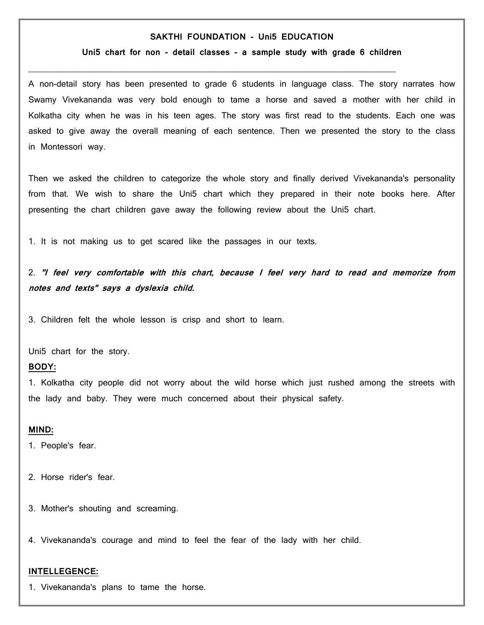# **SAKTHI FOUNDATION - Uni5 EDUCATION**

#### **Uni5 chart for non - detail classes - a sample study with grade 6 children**

 $\mathcal{L}_\text{max}$  and  $\mathcal{L}_\text{max}$  and  $\mathcal{L}_\text{max}$  and  $\mathcal{L}_\text{max}$  and  $\mathcal{L}_\text{max}$ 

A non-detail story has been presented to grade 6 students in language class. The story narrates how Swamy Vivekananda was very bold enough to tame a horse and saved a mother with her child in Kolkatha city when he was in his teen ages. The story was first read to the students. Each one was asked to give away the overall meaning of each sentence. Then we presented the story to the class in Montessori way.

Then we asked the children to categorize the whole story and finally derived Vivekananda's personality from that. We wish to share the Uni5 chart which they prepared in their note books here. After presenting the chart children gave away the following review about the Uni5 chart.

1. It is not making us to get scared like the passages in our texts.

2. **''I feel very comfortable with this chart, because I feel very hard to read and memorize from notes and texts'' says a dyslexia child.**

3. Children felt the whole lesson is crisp and short to learn.

Uni5 chart for the story.

# **BODY:**

1. Kolkatha city people did not worry about the wild horse which just rushed among the streets with the lady and baby. They were much concerned about their physical safety.

### **MIND:**

1. People's fear.

- 2. Horse rider's fear.
- 3. Mother's shouting and screaming.

4. Vivekananda's courage and mind to feel the fear of the lady with her child.

#### **INTELLEGENCE:**

1. Vivekananda's plans to tame the horse.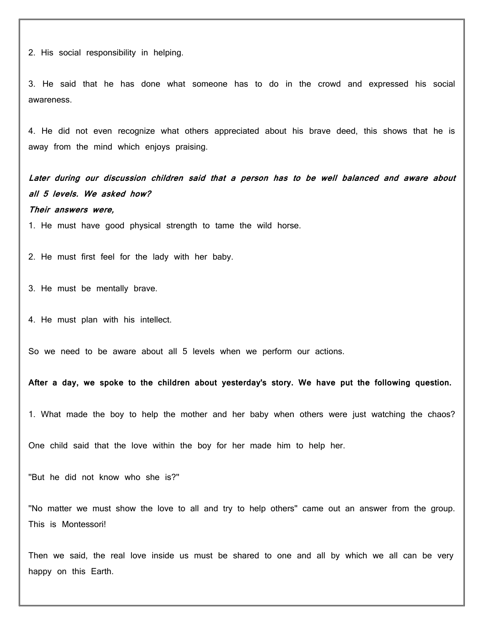2. His social responsibility in helping.

3. He said that he has done what someone has to do in the crowd and expressed his social awareness.

4. He did not even recognize what others appreciated about his brave deed, this shows that he is away from the mind which enjoys praising.

**Later during our discussion children said that a person has to be well balanced and aware about all 5 levels. We asked how? Their answers were,**

1. He must have good physical strength to tame the wild horse.

2. He must first feel for the lady with her baby.

3. He must be mentally brave.

4. He must plan with his intellect.

So we need to be aware about all 5 levels when we perform our actions.

**After a day, we spoke to the children about yesterday's story. We have put the following question.**

1. What made the boy to help the mother and her baby when others were just watching the chaos?

One child said that the love within the boy for her made him to help her.

''But he did not know who she is?''

''No matter we must show the love to all and try to help others'' came out an answer from the group. This is Montessori!

Then we said, the real love inside us must be shared to one and all by which we all can be very happy on this Earth.